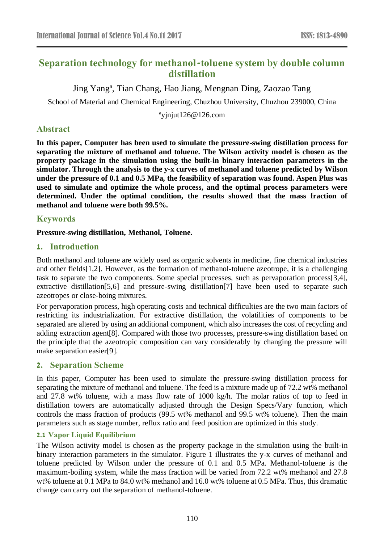# **Separation technology for methanol-toluene system by double column distillation**

Jing Yang<sup>a</sup>, Tian Chang, Hao Jiang, Mengnan Ding, Zaozao Tang

School of Material and Chemical Engineering, Chuzhou University, Chuzhou 239000, China

a yjnjut126@126.com

# **Abstract**

**In this paper, Computer has been used to simulate the pressure-swing distillation process for separating the mixture of methanol and toluene. The Wilson activity model is chosen as the property package in the simulation using the built-in binary interaction parameters in the simulator. Through the analysis to the y-x curves of methanol and toluene predicted by Wilson under the pressure of 0.1 and 0.5 MPa, the feasibility of separation was found. Aspen Plus was used to simulate and optimize the whole process, and the optimal process parameters were determined. Under the optimal condition, the results showed that the mass fraction of methanol and toluene were both 99.5%.**

# **Keywords**

### **Pressure-swing distillation, Methanol, Toluene.**

## **1. Introduction**

Both methanol and toluene are widely used as organic solvents in medicine, fine chemical industries and other fields[1,2]. However, as the formation of methanol-toluene azeotrope, it is a challenging task to separate the two components. Some special processes, such as pervaporation process[3,4], extractive distillation[5,6] and pressure-swing distillation[7] have been used to separate such azeotropes or close-boing mixtures.

For pervaporation process, high operating costs and technical difficulties are the two main factors of restricting its industrialization. For extractive distillation, the volatilities of components to be separated are altered by using an additional component, which also increases the cost of recycling and adding extraction agent[8]. Compared with those two processes, pressure-swing distillation based on the principle that the azeotropic composition can vary considerably by changing the pressure will make separation easier[9].

## **2. Separation Scheme**

In this paper, Computer has been used to simulate the pressure-swing distillation process for separating the mixture of methanol and toluene. The feed is a mixture made up of 72.2 wt% methanol and 27.8 wt% toluene, with a mass flow rate of 1000 kg/h. The molar ratios of top to feed in distillation towers are automatically adjusted through the Design Specs/Vary function, which controls the mass fraction of products (99.5 wt% methanol and 99.5 wt% toluene). Then the main parameters such as stage number, reflux ratio and feed position are optimized in this study.

## **2.1 Vapor Liquid Equilibrium**

The Wilson activity model is chosen as the property package in the simulation using the built-in binary interaction parameters in the simulator. Figure 1 illustrates the y-x curves of methanol and toluene predicted by Wilson under the pressure of 0.1 and 0.5 MPa. Methanol-toluene is the maximum-boiling system, while the mass fraction will be varied from 72.2 wt% methanol and 27.8 wt% toluene at 0.1 MPa to 84.0 wt% methanol and 16.0 wt% toluene at 0.5 MPa. Thus, this dramatic change can carry out the separation of methanol-toluene.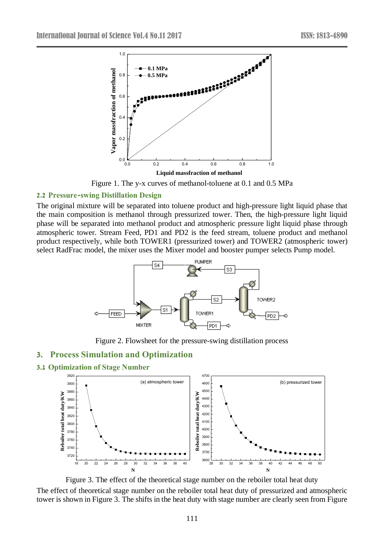

Figure 1. The y-x curves of methanol-toluene at 0.1 and 0.5 MPa

#### **2.2 Pressure-swing Distillation Design**

The original mixture will be separated into toluene product and high-pressure light liquid phase that the main composition is methanol through pressurized tower. Then, the high-pressure light liquid phase will be separated into methanol product and atmospheric pressure light liquid phase through atmospheric tower. Stream Feed, PD1 and PD2 is the feed stream, toluene product and methanol product respectively, while both TOWER1 (pressurized tower) and TOWER2 (atmospheric tower) select RadFrac model, the mixer uses the Mixer model and booster pumper selects Pump model.



Figure 2. Flowsheet for the pressure-swing distillation process

#### **3. Process Simulation and Optimization**

**3.1 Optimization of Stage Number**



Figure 3. The effect of the theoretical stage number on the reboiler total heat duty The effect of theoretical stage number on the reboiler total heat duty of pressurized and atmospheric tower is shown in Figure 3. The shifts in the heat duty with stage number are clearly seen from Figure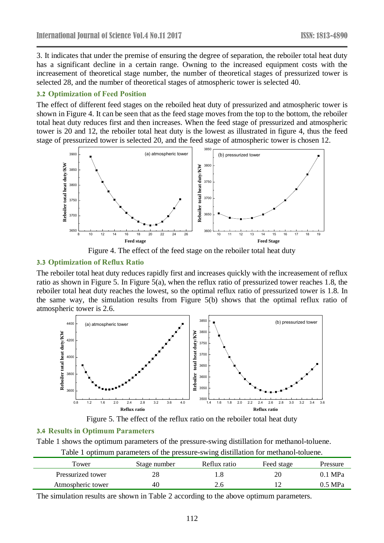3. It indicates that under the premise of ensuring the degree of separation, the reboiler total heat duty has a significant decline in a certain range. Owning to the increased equipment costs with the increasement of theoretical stage number, the number of theoretical stages of pressurized tower is selected 28, and the number of theoretical stages of atmospheric tower is selected 40.

### **3.2 Optimization of Feed Position**

The effect of different feed stages on the reboiled heat duty of pressurized and atmospheric tower is shown in Figure 4. It can be seen that as the feed stage moves from the top to the bottom, the reboiler total heat duty reduces first and then increases. When the feed stage of pressurized and atmospheric tower is 20 and 12, the reboiler total heat duty is the lowest as illustrated in figure 4, thus the feed stage of pressurized tower is selected 20, and the feed stage of atmospheric tower is chosen 12.



Figure 4. The effect of the feed stage on the reboiler total heat duty

### **3.3 Optimization of Reflux Ratio**

The reboiler total heat duty reduces rapidly first and increases quickly with the increasement of reflux ratio as shown in Figure 5. In Figure 5(a), when the reflux ratio of pressurized tower reaches 1.8, the reboiler total heat duty reaches the lowest, so the optimal reflux ratio of pressurized tower is 1.8. In the same way, the simulation results from Figure 5(b) shows that the optimal reflux ratio of atmospheric tower is 2.6.



Figure 5. The effect of the reflux ratio on the reboiler total heat duty

#### **3.4 Results in Optimum Parameters**

Table 1 shows the optimum parameters of the pressure-swing distillation for methanol-toluene.

| Table 1 optimum parameters of the pressure-swing distillation for methanol-toluene. |  |  |  |
|-------------------------------------------------------------------------------------|--|--|--|
|-------------------------------------------------------------------------------------|--|--|--|

| Tower             | Stage number | Reflux ratio | Feed stage | Pressure          |
|-------------------|--------------|--------------|------------|-------------------|
| Pressurized tower |              |              |            | $0.1 \text{ MPa}$ |
| Atmospheric tower | 40           |              |            | $0.5$ MPa         |

The simulation results are shown in Table 2 according to the above optimum parameters.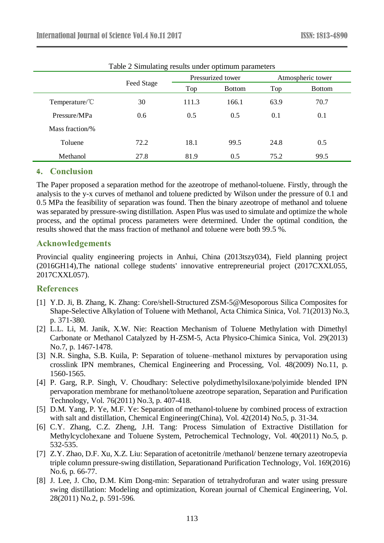|                          | $14010$ $\mu$ billionating results under optimum parameters |       |                   |      |                   |  |
|--------------------------|-------------------------------------------------------------|-------|-------------------|------|-------------------|--|
|                          | Feed Stage                                                  |       | Pressurized tower |      | Atmospheric tower |  |
|                          |                                                             | Top   | <b>Bottom</b>     | Top  | <b>Bottom</b>     |  |
| Temperature/ $\degree$ C | 30                                                          | 111.3 | 166.1             | 63.9 | 70.7              |  |
| Pressure/MPa             | 0.6                                                         | 0.5   | 0.5               | 0.1  | 0.1               |  |
| Mass fraction/%          |                                                             |       |                   |      |                   |  |
| Toluene                  | 72.2                                                        | 18.1  | 99.5              | 24.8 | 0.5               |  |
| Methanol                 | 27.8                                                        | 81.9  | 0.5               | 75.2 | 99.5              |  |

Table 2 Simulating results under optimum parameters

## **4. Conclusion**

The Paper proposed a separation method for the azeotrope of methanol-toluene. Firstly, through the analysis to the y-x curves of methanol and toluene predicted by Wilson under the pressure of 0.1 and 0.5 MPa the feasibility of separation was found. Then the binary azeotrope of methanol and toluene was separated by pressure-swing distillation. Aspen Plus was used to simulate and optimize the whole process, and the optimal process parameters were determined. Under the optimal condition, the results showed that the mass fraction of methanol and toluene were both 99.5 %.

### **Acknowledgements**

Provincial quality engineering projects in Anhui, China (2013tszy034), Field planning project (2016GH14),The national college students' innovative entrepreneurial project (2017CXXL055, 2017CXXL057).

# **References**

- [1] Y.D. Ji, B. Zhang, K. Zhang: Core/shell-Structured ZSM-5@Mesoporous Silica Composites for Shape-Selective Alkylation of Toluene with Methanol, Acta Chimica Sinica, Vol. 71(2013) No.3, p. 371-380.
- [2] L.L. Li, M. Janik, X.W. Nie: Reaction Mechanism of Toluene Methylation with Dimethyl Carbonate or Methanol Catalyzed by H-ZSM-5, Acta Physico-Chimica Sinica, Vol. 29(2013) No.7, p. 1467-1478.
- [3] N.R. Singha, S.B. Kuila, P: Separation of toluene–methanol mixtures by pervaporation using crosslink IPN membranes, Chemical Engineering and Processing, Vol. 48(2009) No.11, p. 1560-1565.
- [4] P. Garg, R.P. Singh, V. Choudhary: Selective polydimethylsiloxane/polyimide blended IPN pervaporation membrane for methanol/toluene azeotrope separation, Separation and Purification Technology, Vol. 76(2011) No.3, p. 407-418.
- [5] D.M. Yang, P. Ye, M.F. Ye: Separation of methanol-toluene by combined process of extraction with salt and distillation, Chemical Engineering(China), Vol. 42(2014) No.5, p. 31-34.
- [6] C.Y. Zhang, C.Z. Zheng, J.H. Tang: Process Simulation of Extractive Distillation for Methylcyclohexane and Toluene System, Petrochemical Technology, Vol. 40(2011) No.5, p. 532-535.
- [7] Z.Y. Zhao, D.F. Xu, X.Z. Liu: Separation of acetonitrile /methanol/ benzene ternary azeotropevia triple column pressure-swing distillation, Separationand Purification Technology, Vol. 169(2016) No.6, p. 66-77.
- [8] J. Lee, J. Cho, D.M. Kim Dong-min: Separation of tetrahydrofuran and water using pressure swing distillation: Modeling and optimization, Korean journal of Chemical Engineering, Vol. 28(2011) No.2, p. 591-596.